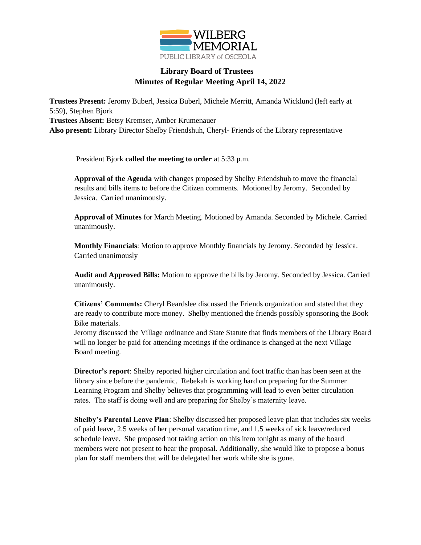

## **Library Board of Trustees Minutes of Regular Meeting April 14, 2022**

**Trustees Present:** Jeromy Buberl, Jessica Buberl, Michele Merritt, Amanda Wicklund (left early at 5:59), Stephen Bjork **Trustees Absent:** Betsy Kremser, Amber Krumenauer **Also present:** Library Director Shelby Friendshuh, Cheryl- Friends of the Library representative

President Bjork **called the meeting to order** at 5:33 p.m.

**Approval of the Agenda** with changes proposed by Shelby Friendshuh to move the financial results and bills items to before the Citizen comments. Motioned by Jeromy. Seconded by Jessica. Carried unanimously.

**Approval of Minutes** for March Meeting. Motioned by Amanda. Seconded by Michele. Carried unanimously.

**Monthly Financials**: Motion to approve Monthly financials by Jeromy. Seconded by Jessica. Carried unanimously

**Audit and Approved Bills:** Motion to approve the bills by Jeromy. Seconded by Jessica. Carried unanimously.

**Citizens' Comments:** Cheryl Beardslee discussed the Friends organization and stated that they are ready to contribute more money. Shelby mentioned the friends possibly sponsoring the Book Bike materials.

Jeromy discussed the Village ordinance and State Statute that finds members of the Library Board will no longer be paid for attending meetings if the ordinance is changed at the next Village Board meeting.

**Director's report**: Shelby reported higher circulation and foot traffic than has been seen at the library since before the pandemic. Rebekah is working hard on preparing for the Summer Learning Program and Shelby believes that programming will lead to even better circulation rates. The staff is doing well and are preparing for Shelby's maternity leave.

**Shelby's Parental Leave Plan**: Shelby discussed her proposed leave plan that includes six weeks of paid leave, 2.5 weeks of her personal vacation time, and 1.5 weeks of sick leave/reduced schedule leave. She proposed not taking action on this item tonight as many of the board members were not present to hear the proposal. Additionally, she would like to propose a bonus plan for staff members that will be delegated her work while she is gone.